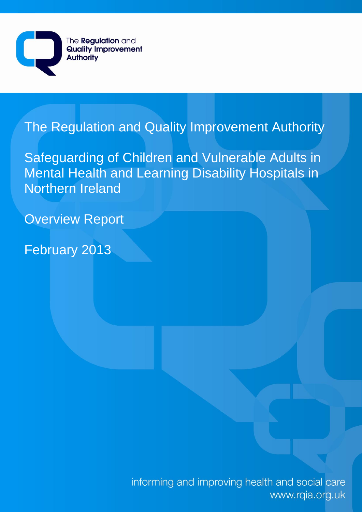

# The Regulation and Quality Improvement Authority

Safeguarding of Children and Vulnerable Adults in Mental Health and Learning Disability Hospitals in Northern Ireland

Overview Report

February 2013

informing and improving health and social care www.rqia.org.uk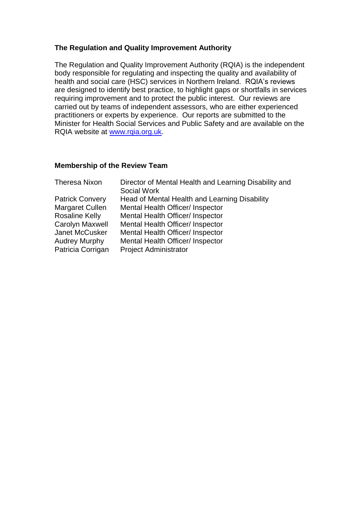#### **The Regulation and Quality Improvement Authority**

The Regulation and Quality Improvement Authority (RQIA) is the independent body responsible for regulating and inspecting the quality and availability of health and social care (HSC) services in Northern Ireland. RQIA's reviews are designed to identify best practice, to highlight gaps or shortfalls in services requiring improvement and to protect the public interest. Our reviews are carried out by teams of independent assessors, who are either experienced practitioners or experts by experience. Our reports are submitted to the Minister for Health Social Services and Public Safety and are available on the RQIA website at [www.rqia.org.uk.](http://www.rqia.org.uk/)

#### **Membership of the Review Team**

| Director of Mental Health and Learning Disability and<br>Social Work |
|----------------------------------------------------------------------|
| Head of Mental Health and Learning Disability                        |
| Mental Health Officer/ Inspector                                     |
| Mental Health Officer/ Inspector                                     |
| Mental Health Officer/ Inspector                                     |
| Mental Health Officer/ Inspector                                     |
| Mental Health Officer/ Inspector                                     |
| <b>Project Administrator</b>                                         |
|                                                                      |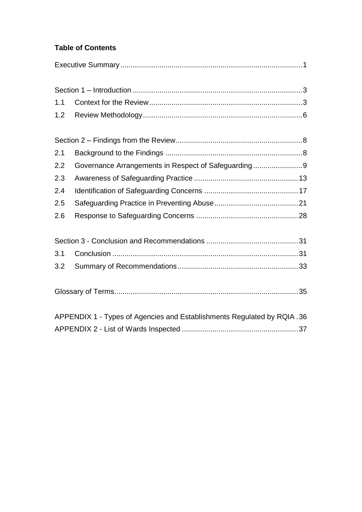## **Table of Contents**

| 1.1                                                                    |                                                     |  |  |  |
|------------------------------------------------------------------------|-----------------------------------------------------|--|--|--|
| 1.2                                                                    |                                                     |  |  |  |
|                                                                        |                                                     |  |  |  |
| 2.1                                                                    |                                                     |  |  |  |
| 2.2                                                                    | Governance Arrangements in Respect of Safeguarding9 |  |  |  |
| 2.3                                                                    |                                                     |  |  |  |
| 2.4                                                                    |                                                     |  |  |  |
| 2.5                                                                    |                                                     |  |  |  |
| 2.6                                                                    |                                                     |  |  |  |
|                                                                        |                                                     |  |  |  |
| 3.1                                                                    |                                                     |  |  |  |
| 3.2                                                                    |                                                     |  |  |  |
|                                                                        |                                                     |  |  |  |
| APPENDIX 1 - Types of Agencies and Establishments Regulated by RQIA.36 |                                                     |  |  |  |
|                                                                        |                                                     |  |  |  |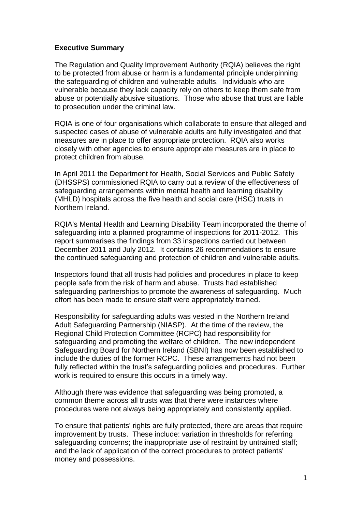#### <span id="page-3-0"></span>**Executive Summary**

The Regulation and Quality Improvement Authority (RQIA) believes the right to be protected from abuse or harm is a fundamental principle underpinning the safeguarding of children and vulnerable adults. Individuals who are vulnerable because they lack capacity rely on others to keep them safe from abuse or potentially abusive situations. Those who abuse that trust are liable to prosecution under the criminal law.

RQIA is one of four organisations which collaborate to ensure that alleged and suspected cases of abuse of vulnerable adults are fully investigated and that measures are in place to offer appropriate protection. RQIA also works closely with other agencies to ensure appropriate measures are in place to protect children from abuse.

In April 2011 the Department for Health, Social Services and Public Safety (DHSSPS) commissioned RQIA to carry out a review of the effectiveness of safeguarding arrangements within mental health and learning disability (MHLD) hospitals across the five health and social care (HSC) trusts in Northern Ireland.

RQIA's Mental Health and Learning Disability Team incorporated the theme of safeguarding into a planned programme of inspections for 2011-2012. This report summarises the findings from 33 inspections carried out between December 2011 and July 2012. It contains 26 recommendations to ensure the continued safeguarding and protection of children and vulnerable adults.

Inspectors found that all trusts had policies and procedures in place to keep people safe from the risk of harm and abuse. Trusts had established safeguarding partnerships to promote the awareness of safeguarding. Much effort has been made to ensure staff were appropriately trained.

Responsibility for safeguarding adults was vested in the Northern Ireland Adult Safeguarding Partnership (NIASP). At the time of the review, the Regional Child Protection Committee (RCPC) had responsibility for safeguarding and promoting the welfare of children. The new independent Safeguarding Board for Northern Ireland (SBNI) has now been established to include the duties of the former RCPC. These arrangements had not been fully reflected within the trust's safeguarding policies and procedures. Further work is required to ensure this occurs in a timely way.

Although there was evidence that safeguarding was being promoted, a common theme across all trusts was that there were instances where procedures were not always being appropriately and consistently applied.

To ensure that patients' rights are fully protected, there are areas that require improvement by trusts. These include: variation in thresholds for referring safeguarding concerns; the inappropriate use of restraint by untrained staff; and the lack of application of the correct procedures to protect patients' money and possessions.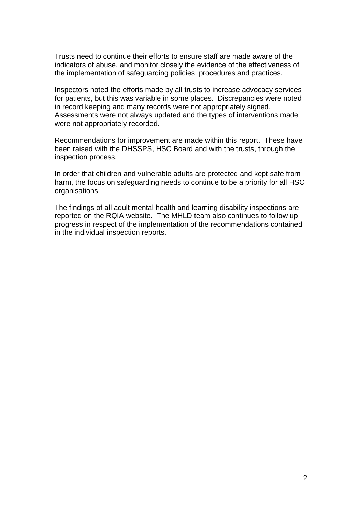Trusts need to continue their efforts to ensure staff are made aware of the indicators of abuse, and monitor closely the evidence of the effectiveness of the implementation of safeguarding policies, procedures and practices.

Inspectors noted the efforts made by all trusts to increase advocacy services for patients, but this was variable in some places. Discrepancies were noted in record keeping and many records were not appropriately signed. Assessments were not always updated and the types of interventions made were not appropriately recorded.

Recommendations for improvement are made within this report. These have been raised with the DHSSPS, HSC Board and with the trusts, through the inspection process.

In order that children and vulnerable adults are protected and kept safe from harm, the focus on safeguarding needs to continue to be a priority for all HSC organisations.

The findings of all adult mental health and learning disability inspections are reported on the RQIA website. The MHLD team also continues to follow up progress in respect of the implementation of the recommendations contained in the individual inspection reports.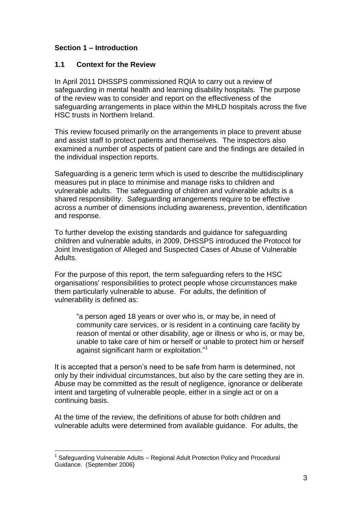## <span id="page-5-0"></span>**Section 1 – Introduction**

#### <span id="page-5-1"></span>**1.1 Context for the Review**

In April 2011 DHSSPS commissioned RQIA to carry out a review of safeguarding in mental health and learning disability hospitals. The purpose of the review was to consider and report on the effectiveness of the safeguarding arrangements in place within the MHLD hospitals across the five HSC trusts in Northern Ireland.

This review focused primarily on the arrangements in place to prevent abuse and assist staff to protect patients and themselves. The inspectors also examined a number of aspects of patient care and the findings are detailed in the individual inspection reports.

Safeguarding is a generic term which is used to describe the multidisciplinary measures put in place to minimise and manage risks to children and vulnerable adults. The safeguarding of children and vulnerable adults is a shared responsibility. Safeguarding arrangements require to be effective across a number of dimensions including awareness, prevention, identification and response.

To further develop the existing standards and guidance for safeguarding children and vulnerable adults, in 2009, DHSSPS introduced the Protocol for Joint Investigation of Alleged and Suspected Cases of Abuse of Vulnerable Adults.

For the purpose of this report, the term safeguarding refers to the HSC organisations' responsibilities to protect people whose circumstances make them particularly vulnerable to abuse. For adults, the definition of vulnerability is defined as:

"a person aged 18 years or over who is, or may be, in need of community care services, or is resident in a continuing care facility by reason of mental or other disability, age or illness or who is, or may be, unable to take care of him or herself or unable to protect him or herself against significant harm or exploitation."<sup>1</sup>

It is accepted that a person's need to be safe from harm is determined, not only by their individual circumstances, but also by the care setting they are in. Abuse may be committed as the result of negligence, ignorance or deliberate intent and targeting of vulnerable people, either in a single act or on a continuing basis.

At the time of the review, the definitions of abuse for both children and vulnerable adults were determined from available guidance. For adults, the

<sup>&</sup>lt;sup>1</sup> Safeguarding Vulnerable Adults – Regional Adult Protection Policy and Procedural Guidance. (September 2006)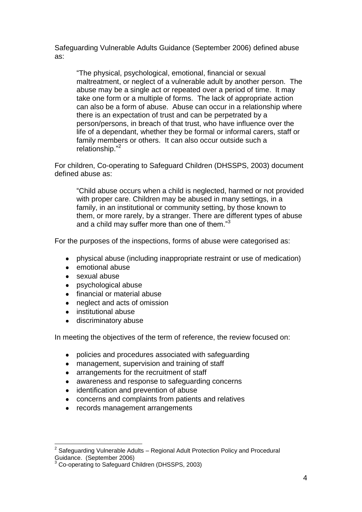Safeguarding Vulnerable Adults Guidance (September 2006) defined abuse as:

"The physical, psychological, emotional, financial or sexual maltreatment, or neglect of a vulnerable adult by another person. The abuse may be a single act or repeated over a period of time. It may take one form or a multiple of forms. The lack of appropriate action can also be a form of abuse. Abuse can occur in a relationship where there is an expectation of trust and can be perpetrated by a person/persons, in breach of that trust, who have influence over the life of a dependant, whether they be formal or informal carers, staff or family members or others. It can also occur outside such a relationship." 2

For children, Co-operating to Safeguard Children (DHSSPS, 2003) document defined abuse as:

"Child abuse occurs when a child is neglected, harmed or not provided with proper care. Children may be abused in many settings, in a family, in an institutional or community setting, by those known to them, or more rarely, by a stranger. There are different types of abuse and a child may suffer more than one of them."<sup>3</sup>

For the purposes of the inspections, forms of abuse were categorised as:

- physical abuse (including inappropriate restraint or use of medication)  $\bullet$
- emotional abuse  $\bullet$
- sexual abuse

- psychological abuse
- financial or material abuse  $\bullet$
- $\bullet$ neglect and acts of omission
- $\bullet$ institutional abuse
- discriminatory abuse

In meeting the objectives of the term of reference, the review focused on:

- $\bullet$ policies and procedures associated with safeguarding
- management, supervision and training of staff  $\bullet$
- arrangements for the recruitment of staff  $\bullet$
- awareness and response to safeguarding concerns  $\bullet$
- identification and prevention of abuse  $\bullet$
- $\bullet$ concerns and complaints from patients and relatives
- records management arrangements  $\bullet$

 $2$  Safeguarding Vulnerable Adults – Regional Adult Protection Policy and Procedural Guidance. (September 2006)

Co-operating to Safeguard Children (DHSSPS, 2003)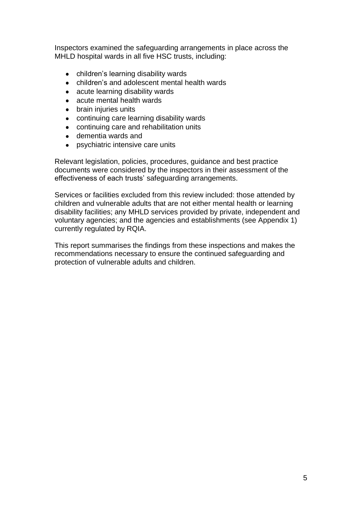Inspectors examined the safeguarding arrangements in place across the MHLD hospital wards in all five HSC trusts, including:

- children's learning disability wards
- $\bullet$ children's and adolescent mental health wards
- acute learning disability wards  $\bullet$
- acute mental health wards  $\bullet$
- brain injuries units
- continuing care learning disability wards
- continuing care and rehabilitation units  $\bullet$
- dementia wards and
- psychiatric intensive care units

Relevant legislation, policies, procedures, guidance and best practice documents were considered by the inspectors in their assessment of the effectiveness of each trusts' safeguarding arrangements.

Services or facilities excluded from this review included: those attended by children and vulnerable adults that are not either mental health or learning disability facilities; any MHLD services provided by private, independent and voluntary agencies; and the agencies and establishments (see Appendix 1) currently regulated by RQIA.

This report summarises the findings from these inspections and makes the recommendations necessary to ensure the continued safeguarding and protection of vulnerable adults and children.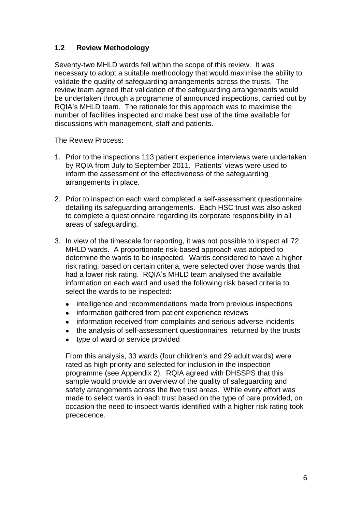## <span id="page-8-0"></span>**1.2 Review Methodology**

Seventy-two MHLD wards fell within the scope of this review. It was necessary to adopt a suitable methodology that would maximise the ability to validate the quality of safeguarding arrangements across the trusts. The review team agreed that validation of the safeguarding arrangements would be undertaken through a programme of announced inspections, carried out by RQIA's MHLD team. The rationale for this approach was to maximise the number of facilities inspected and make best use of the time available for discussions with management, staff and patients.

The Review Process:

- 1. Prior to the inspections 113 patient experience interviews were undertaken by RQIA from July to September 2011. Patients' views were used to inform the assessment of the effectiveness of the safeguarding arrangements in place.
- 2. Prior to inspection each ward completed a self-assessment questionnaire, detailing its safeguarding arrangements. Each HSC trust was also asked to complete a questionnaire regarding its corporate responsibility in all areas of safeguarding.
- 3. In view of the timescale for reporting, it was not possible to inspect all 72 MHLD wards. A proportionate risk-based approach was adopted to determine the wards to be inspected. Wards considered to have a higher risk rating, based on certain criteria, were selected over those wards that had a lower risk rating. RQIA's MHLD team analysed the available information on each ward and used the following risk based criteria to select the wards to be inspected:
	- intelligence and recommendations made from previous inspections  $\bullet$
	- information gathered from patient experience reviews
	- information received from complaints and serious adverse incidents  $\bullet$
	- the analysis of self-assessment questionnaires returned by the trusts  $\bullet$
	- type of ward or service provided

From this analysis, 33 wards (four children's and 29 adult wards) were rated as high priority and selected for inclusion in the inspection programme (see Appendix 2). RQIA agreed with DHSSPS that this sample would provide an overview of the quality of safeguarding and safety arrangements across the five trust areas. While every effort was made to select wards in each trust based on the type of care provided, on occasion the need to inspect wards identified with a higher risk rating took precedence.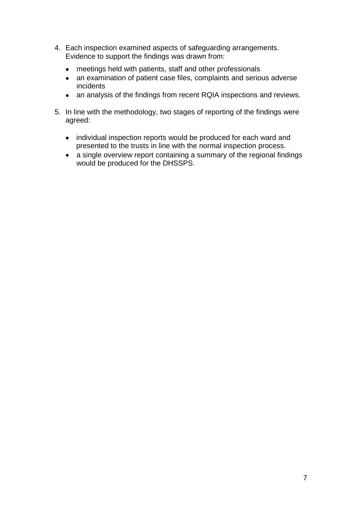- 4. Each inspection examined aspects of safeguarding arrangements. Evidence to support the findings was drawn from:
	- $\bullet$ meetings held with patients, staff and other professionals
	- an examination of patient case files, complaints and serious adverse incidents
	- an analysis of the findings from recent RQIA inspections and reviews.
- 5. In line with the methodology, two stages of reporting of the findings were agreed:
	- individual inspection reports would be produced for each ward and presented to the trusts in line with the normal inspection process.
	- a single overview report containing a summary of the regional findings would be produced for the DHSSPS.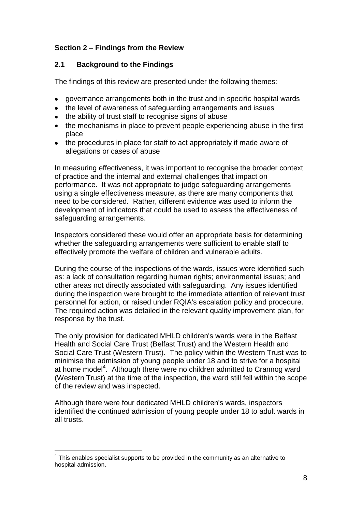## <span id="page-10-0"></span>**Section 2 – Findings from the Review**

## <span id="page-10-1"></span>**2.1 Background to the Findings**

The findings of this review are presented under the following themes:

- governance arrangements both in the trust and in specific hospital wards
- the level of awareness of safeguarding arrangements and issues
- the ability of trust staff to recognise signs of abuse
- the mechanisms in place to prevent people experiencing abuse in the first place
- the procedures in place for staff to act appropriately if made aware of allegations or cases of abuse

In measuring effectiveness, it was important to recognise the broader context of practice and the internal and external challenges that impact on performance. It was not appropriate to judge safeguarding arrangements using a single effectiveness measure, as there are many components that need to be considered. Rather, different evidence was used to inform the development of indicators that could be used to assess the effectiveness of safeguarding arrangements.

Inspectors considered these would offer an appropriate basis for determining whether the safeguarding arrangements were sufficient to enable staff to effectively promote the welfare of children and vulnerable adults.

During the course of the inspections of the wards, issues were identified such as: a lack of consultation regarding human rights; environmental issues; and other areas not directly associated with safeguarding. Any issues identified during the inspection were brought to the immediate attention of relevant trust personnel for action, or raised under RQIA's escalation policy and procedure. The required action was detailed in the relevant quality improvement plan, for response by the trust.

The only provision for dedicated MHLD children's wards were in the Belfast Health and Social Care Trust (Belfast Trust) and the Western Health and Social Care Trust (Western Trust). The policy within the Western Trust was to minimise the admission of young people under 18 and to strive for a hospital at home model<sup>4</sup>. Although there were no children admitted to Crannog ward (Western Trust) at the time of the inspection, the ward still fell within the scope of the review and was inspected.

Although there were four dedicated MHLD children's wards, inspectors identified the continued admission of young people under 18 to adult wards in all trusts.

 $<sup>4</sup>$  This enables specialist supports to be provided in the community as an alternative to</sup> hospital admission.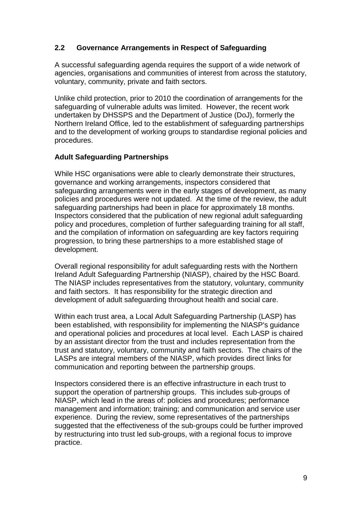## <span id="page-11-0"></span>**2.2 Governance Arrangements in Respect of Safeguarding**

A successful safeguarding agenda requires the support of a wide network of agencies, organisations and communities of interest from across the statutory, voluntary, community, private and faith sectors.

Unlike child protection, prior to 2010 the coordination of arrangements for the safeguarding of vulnerable adults was limited. However, the recent work undertaken by DHSSPS and the Department of Justice (DoJ), formerly the Northern Ireland Office, led to the establishment of safeguarding partnerships and to the development of working groups to standardise regional policies and procedures.

## **Adult Safeguarding Partnerships**

While HSC organisations were able to clearly demonstrate their structures, governance and working arrangements, inspectors considered that safeguarding arrangements were in the early stages of development, as many policies and procedures were not updated. At the time of the review, the adult safeguarding partnerships had been in place for approximately 18 months. Inspectors considered that the publication of new regional adult safeguarding policy and procedures, completion of further safeguarding training for all staff, and the compilation of information on safeguarding are key factors requiring progression, to bring these partnerships to a more established stage of development.

Overall regional responsibility for adult safeguarding rests with the Northern Ireland Adult Safeguarding Partnership (NIASP), chaired by the HSC Board. The NIASP includes representatives from the statutory, voluntary, community and faith sectors. It has responsibility for the strategic direction and development of adult safeguarding throughout health and social care.

Within each trust area, a Local Adult Safeguarding Partnership (LASP) has been established, with responsibility for implementing the NIASP's guidance and operational policies and procedures at local level. Each LASP is chaired by an assistant director from the trust and includes representation from the trust and statutory, voluntary, community and faith sectors. The chairs of the LASPs are integral members of the NIASP, which provides direct links for communication and reporting between the partnership groups.

Inspectors considered there is an effective infrastructure in each trust to support the operation of partnership groups. This includes sub-groups of NIASP, which lead in the areas of: policies and procedures; performance management and information; training; and communication and service user experience. During the review, some representatives of the partnerships suggested that the effectiveness of the sub-groups could be further improved by restructuring into trust led sub-groups, with a regional focus to improve practice.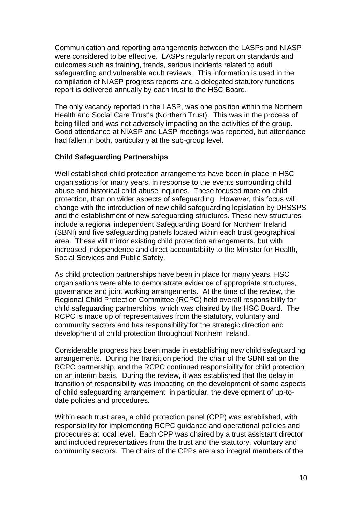Communication and reporting arrangements between the LASPs and NIASP were considered to be effective. LASPs regularly report on standards and outcomes such as training, trends, serious incidents related to adult safeguarding and vulnerable adult reviews. This information is used in the compilation of NIASP progress reports and a delegated statutory functions report is delivered annually by each trust to the HSC Board.

The only vacancy reported in the LASP, was one position within the Northern Health and Social Care Trust's (Northern Trust). This was in the process of being filled and was not adversely impacting on the activities of the group. Good attendance at NIASP and LASP meetings was reported, but attendance had fallen in both, particularly at the sub-group level.

## **Child Safeguarding Partnerships**

Well established child protection arrangements have been in place in HSC organisations for many years, in response to the events surrounding child abuse and historical child abuse inquiries. These focused more on child protection, than on wider aspects of safeguarding. However, this focus will change with the introduction of new child safeguarding legislation by DHSSPS and the establishment of new safeguarding structures. These new structures include a regional independent Safeguarding Board for Northern Ireland (SBNI) and five safeguarding panels located within each trust geographical area. These will mirror existing child protection arrangements, but with increased independence and direct accountability to the Minister for Health, Social Services and Public Safety.

As child protection partnerships have been in place for many years, HSC organisations were able to demonstrate evidence of appropriate structures, governance and joint working arrangements. At the time of the review, the Regional Child Protection Committee (RCPC) held overall responsibility for child safeguarding partnerships, which was chaired by the HSC Board. The RCPC is made up of representatives from the statutory, voluntary and community sectors and has responsibility for the strategic direction and development of child protection throughout Northern Ireland.

Considerable progress has been made in establishing new child safeguarding arrangements. During the transition period, the chair of the SBNI sat on the RCPC partnership, and the RCPC continued responsibility for child protection on an interim basis. During the review, it was established that the delay in transition of responsibility was impacting on the development of some aspects of child safeguarding arrangement, in particular, the development of up-todate policies and procedures.

Within each trust area, a child protection panel (CPP) was established, with responsibility for implementing RCPC guidance and operational policies and procedures at local level. Each CPP was chaired by a trust assistant director and included representatives from the trust and the statutory, voluntary and community sectors. The chairs of the CPPs are also integral members of the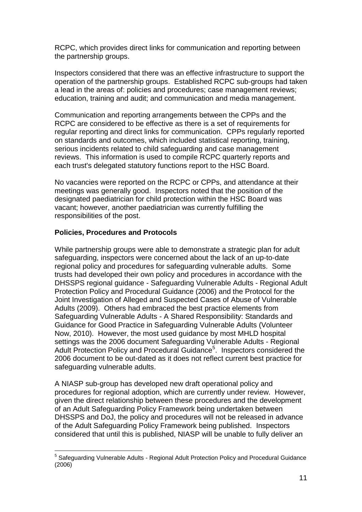RCPC, which provides direct links for communication and reporting between the partnership groups.

Inspectors considered that there was an effective infrastructure to support the operation of the partnership groups. Established RCPC sub-groups had taken a lead in the areas of: policies and procedures; case management reviews; education, training and audit; and communication and media management.

Communication and reporting arrangements between the CPPs and the RCPC are considered to be effective as there is a set of requirements for regular reporting and direct links for communication. CPPs regularly reported on standards and outcomes, which included statistical reporting, training, serious incidents related to child safeguarding and case management reviews. This information is used to compile RCPC quarterly reports and each trust's delegated statutory functions report to the HSC Board.

No vacancies were reported on the RCPC or CPPs, and attendance at their meetings was generally good. Inspectors noted that the position of the designated paediatrician for child protection within the HSC Board was vacant; however, another paediatrician was currently fulfilling the responsibilities of the post.

## **Policies, Procedures and Protocols**

While partnership groups were able to demonstrate a strategic plan for adult safeguarding, inspectors were concerned about the lack of an up-to-date regional policy and procedures for safeguarding vulnerable adults. Some trusts had developed their own policy and procedures in accordance with the DHSSPS regional guidance - Safeguarding Vulnerable Adults - Regional Adult Protection Policy and Procedural Guidance (2006) and the Protocol for the Joint Investigation of Alleged and Suspected Cases of Abuse of Vulnerable Adults (2009). Others had embraced the best practice elements from Safeguarding Vulnerable Adults - A Shared Responsibility: Standards and Guidance for Good Practice in Safeguarding Vulnerable Adults (Volunteer Now, 2010). However, the most used guidance by most MHLD hospital settings was the 2006 document Safeguarding Vulnerable Adults - Regional Adult Protection Policy and Procedural Guidance<sup>5</sup>. Inspectors considered the 2006 document to be out-dated as it does not reflect current best practice for safeguarding vulnerable adults.

A NIASP sub-group has developed new draft operational policy and procedures for regional adoption, which are currently under review. However, given the direct relationship between these procedures and the development of an Adult Safeguarding Policy Framework being undertaken between DHSSPS and DoJ, the policy and procedures will not be released in advance of the Adult Safeguarding Policy Framework being published. Inspectors considered that until this is published, NIASP will be unable to fully deliver an

<sup>&</sup>lt;sup>5</sup> Safeguarding Vulnerable Adults - Regional Adult Protection Policy and Procedural Guidance (2006)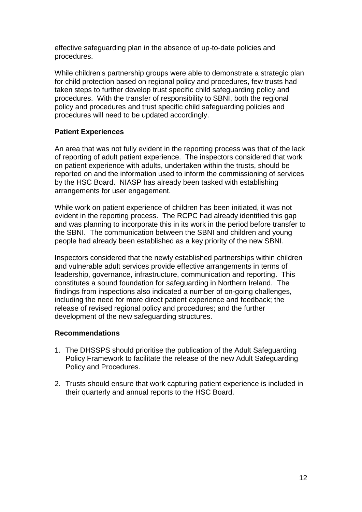effective safeguarding plan in the absence of up-to-date policies and procedures.

While children's partnership groups were able to demonstrate a strategic plan for child protection based on regional policy and procedures, few trusts had taken steps to further develop trust specific child safeguarding policy and procedures. With the transfer of responsibility to SBNI, both the regional policy and procedures and trust specific child safeguarding policies and procedures will need to be updated accordingly.

## **Patient Experiences**

An area that was not fully evident in the reporting process was that of the lack of reporting of adult patient experience. The inspectors considered that work on patient experience with adults, undertaken within the trusts, should be reported on and the information used to inform the commissioning of services by the HSC Board. NIASP has already been tasked with establishing arrangements for user engagement.

While work on patient experience of children has been initiated, it was not evident in the reporting process. The RCPC had already identified this gap and was planning to incorporate this in its work in the period before transfer to the SBNI. The communication between the SBNI and children and young people had already been established as a key priority of the new SBNI.

Inspectors considered that the newly established partnerships within children and vulnerable adult services provide effective arrangements in terms of leadership, governance, infrastructure, communication and reporting. This constitutes a sound foundation for safeguarding in Northern Ireland. The findings from inspections also indicated a number of on-going challenges, including the need for more direct patient experience and feedback; the release of revised regional policy and procedures; and the further development of the new safeguarding structures.

#### **Recommendations**

- 1. The DHSSPS should prioritise the publication of the Adult Safeguarding Policy Framework to facilitate the release of the new Adult Safeguarding Policy and Procedures.
- 2. Trusts should ensure that work capturing patient experience is included in their quarterly and annual reports to the HSC Board.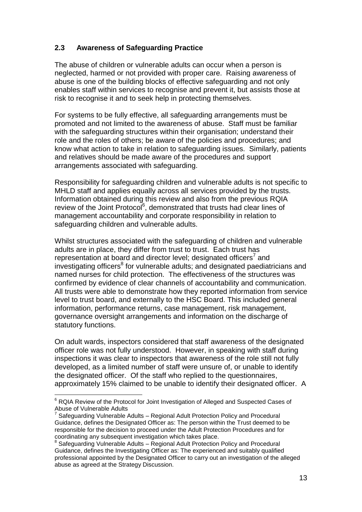## <span id="page-15-0"></span>**2.3 Awareness of Safeguarding Practice**

The abuse of children or vulnerable adults can occur when a person is neglected, harmed or not provided with proper care. Raising awareness of abuse is one of the building blocks of effective safeguarding and not only enables staff within services to recognise and prevent it, but assists those at risk to recognise it and to seek help in protecting themselves.

For systems to be fully effective, all safeguarding arrangements must be promoted and not limited to the awareness of abuse. Staff must be familiar with the safeguarding structures within their organisation; understand their role and the roles of others; be aware of the policies and procedures; and know what action to take in relation to safeguarding issues. Similarly, patients and relatives should be made aware of the procedures and support arrangements associated with safeguarding.

Responsibility for safeguarding children and vulnerable adults is not specific to MHLD staff and applies equally across all services provided by the trusts. Information obtained during this review and also from the previous RQIA review of the Joint Protocol<sup>6</sup>, demonstrated that trusts had clear lines of management accountability and corporate responsibility in relation to safeguarding children and vulnerable adults.

Whilst structures associated with the safeguarding of children and vulnerable adults are in place, they differ from trust to trust. Each trust has representation at board and director level; designated officers<sup>7</sup> and investigating officers<sup>8</sup> for vulnerable adults; and designated paediatricians and named nurses for child protection. The effectiveness of the structures was confirmed by evidence of clear channels of accountability and communication. All trusts were able to demonstrate how they reported information from service level to trust board, and externally to the HSC Board. This included general information, performance returns, case management, risk management, governance oversight arrangements and information on the discharge of statutory functions.

On adult wards, inspectors considered that staff awareness of the designated officer role was not fully understood. However, in speaking with staff during inspections it was clear to inspectors that awareness of the role still not fully developed, as a limited number of staff were unsure of, or unable to identify the designated officer. Of the staff who replied to the questionnaires, approximately 15% claimed to be unable to identify their designated officer. A

<sup>&</sup>lt;sup>6</sup> RQIA Review of the Protocol for Joint Investigation of Alleged and Suspected Cases of Abuse of Vulnerable Adults

<sup>7</sup> Safeguarding Vulnerable Adults – Regional Adult Protection Policy and Procedural Guidance, defines the Designated Officer as: The person within the Trust deemed to be responsible for the decision to proceed under the Adult Protection Procedures and for coordinating any subsequent investigation which takes place.<br><sup>8</sup> Seteguerding Vulperable Adulta - Begispel Adult Pretection

Safeguarding Vulnerable Adults – Regional Adult Protection Policy and Procedural Guidance, defines the Investigating Officer as: The experienced and suitably qualified professional appointed by the Designated Officer to carry out an investigation of the alleged abuse as agreed at the Strategy Discussion.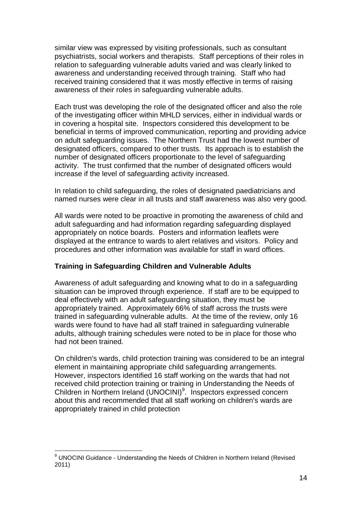similar view was expressed by visiting professionals, such as consultant psychiatrists, social workers and therapists. Staff perceptions of their roles in relation to safeguarding vulnerable adults varied and was clearly linked to awareness and understanding received through training. Staff who had received training considered that it was mostly effective in terms of raising awareness of their roles in safeguarding vulnerable adults.

Each trust was developing the role of the designated officer and also the role of the investigating officer within MHLD services, either in individual wards or in covering a hospital site. Inspectors considered this development to be beneficial in terms of improved communication, reporting and providing advice on adult safeguarding issues. The Northern Trust had the lowest number of designated officers, compared to other trusts. Its approach is to establish the number of designated officers proportionate to the level of safeguarding activity. The trust confirmed that the number of designated officers would increase if the level of safeguarding activity increased.

In relation to child safeguarding, the roles of designated paediatricians and named nurses were clear in all trusts and staff awareness was also very good.

All wards were noted to be proactive in promoting the awareness of child and adult safeguarding and had information regarding safeguarding displayed appropriately on notice boards. Posters and information leaflets were displayed at the entrance to wards to alert relatives and visitors. Policy and procedures and other information was available for staff in ward offices.

## **Training in Safeguarding Children and Vulnerable Adults**

Awareness of adult safeguarding and knowing what to do in a safeguarding situation can be improved through experience. If staff are to be equipped to deal effectively with an adult safeguarding situation, they must be appropriately trained. Approximately 66% of staff across the trusts were trained in safeguarding vulnerable adults. At the time of the review, only 16 wards were found to have had all staff trained in safeguarding vulnerable adults, although training schedules were noted to be in place for those who had not been trained.

On children's wards, child protection training was considered to be an integral element in maintaining appropriate child safeguarding arrangements. However, inspectors identified 16 staff working on the wards that had not received child protection training or training in Understanding the Needs of Children in Northern Ireland (UNOCINI)<sup>9</sup>. Inspectors expressed concern about this and recommended that all staff working on children's wards are appropriately trained in child protection

<sup>&</sup>lt;sup>9</sup> UNOCINI Guidance - Understanding the Needs of Children in Northern Ireland (Revised 2011)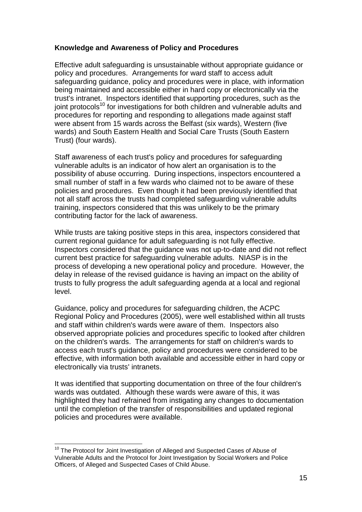## **Knowledge and Awareness of Policy and Procedures**

Effective adult safeguarding is unsustainable without appropriate guidance or policy and procedures. Arrangements for ward staff to access adult safeguarding guidance, policy and procedures were in place, with information being maintained and accessible either in hard copy or electronically via the trust's intranet. Inspectors identified that **<sup>S</sup>**upporting procedures, such as the ioint protocols<sup>10</sup> for investigations for both children and vulnerable adults and procedures for reporting and responding to allegations made against staff were absent from 15 wards across the Belfast (six wards), Western (five wards) and South Eastern Health and Social Care Trusts (South Eastern Trust) (four wards).

Staff awareness of each trust's policy and procedures for safeguarding vulnerable adults is an indicator of how alert an organisation is to the possibility of abuse occurring. During inspections, inspectors encountered a small number of staff in a few wards who claimed not to be aware of these policies and procedures. Even though it had been previously identified that not all staff across the trusts had completed safeguarding vulnerable adults training, inspectors considered that this was unlikely to be the primary contributing factor for the lack of awareness.

While trusts are taking positive steps in this area, inspectors considered that current regional guidance for adult safeguarding is not fully effective. Inspectors considered that the guidance was not up-to-date and did not reflect current best practice for safeguarding vulnerable adults. NIASP is in the process of developing a new operational policy and procedure. However, the delay in release of the revised guidance is having an impact on the ability of trusts to fully progress the adult safeguarding agenda at a local and regional level.

Guidance, policy and procedures for safeguarding children, the ACPC Regional Policy and Procedures (2005), were well established within all trusts and staff within children's wards were aware of them. Inspectors also observed appropriate policies and procedures specific to looked after children on the children's wards. The arrangements for staff on children's wards to access each trust's guidance, policy and procedures were considered to be effective, with information both available and accessible either in hard copy or electronically via trusts' intranets.

It was identified that supporting documentation on three of the four children's wards was outdated. Although these wards were aware of this, it was highlighted they had refrained from instigating any changes to documentation until the completion of the transfer of responsibilities and updated regional policies and procedures were available.

<sup>&</sup>lt;sup>10</sup> The Protocol for Joint Investigation of Alleged and Suspected Cases of Abuse of Vulnerable Adults and the Protocol for Joint Investigation by Social Workers and Police Officers, of Alleged and Suspected Cases of Child Abuse.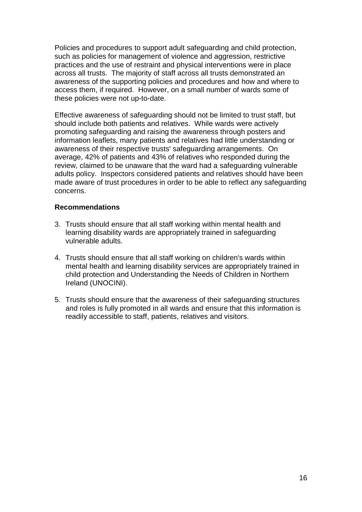Policies and procedures to support adult safeguarding and child protection, such as policies for management of violence and aggression, restrictive practices and the use of restraint and physical interventions were in place across all trusts. The majority of staff across all trusts demonstrated an awareness of the supporting policies and procedures and how and where to access them, if required. However, on a small number of wards some of these policies were not up-to-date.

Effective awareness of safeguarding should not be limited to trust staff, but should include both patients and relatives. While wards were actively promoting safeguarding and raising the awareness through posters and information leaflets, many patients and relatives had little understanding or awareness of their respective trusts' safeguarding arrangements. On average, 42% of patients and 43% of relatives who responded during the review, claimed to be unaware that the ward had a safeguarding vulnerable adults policy. Inspectors considered patients and relatives should have been made aware of trust procedures in order to be able to reflect any safeguarding concerns.

#### **Recommendations**

- 3. Trusts should ensure that all staff working within mental health and learning disability wards are appropriately trained in safeguarding vulnerable adults.
- 4. Trusts should ensure that all staff working on children's wards within mental health and learning disability services are appropriately trained in child protection and Understanding the Needs of Children in Northern Ireland (UNOCINI).
- 5. Trusts should ensure that the awareness of their safeguarding structures and roles is fully promoted in all wards and ensure that this information is readily accessible to staff, patients, relatives and visitors.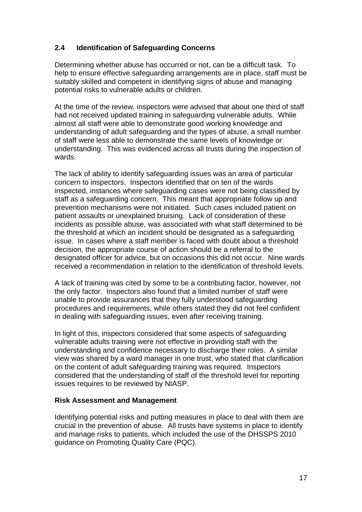## <span id="page-19-0"></span>**2.4 Identification of Safeguarding Concerns**

Determining whether abuse has occurred or not, can be a difficult task. To help to ensure effective safeguarding arrangements are in place, staff must be suitably skilled and competent in identifying signs of abuse and managing potential risks to vulnerable adults or children.

At the time of the review, inspectors were advised that about one third of staff had not received updated training in safeguarding vulnerable adults. While almost all staff were able to demonstrate good working knowledge and understanding of adult safeguarding and the types of abuse, a small number of staff were less able to demonstrate the same levels of knowledge or understanding. This was evidenced across all trusts during the inspection of wards.

The lack of ability to identify safeguarding issues was an area of particular concern to inspectors. Inspectors identified that on ten of the wards inspected, instances where safeguarding cases were not being classified by staff as a safeguarding concern. This meant that appropriate follow up and prevention mechanisms were not initiated. Such cases included patient on patient assaults or unexplained bruising. Lack of consideration of these incidents as possible abuse, was associated with what staff determined to be the threshold at which an incident should be designated as a safeguarding issue. In cases where a staff member is faced with doubt about a threshold decision, the appropriate course of action should be a referral to the designated officer for advice, but on occasions this did not occur. Nine wards received a recommendation in relation to the identification of threshold levels.

A lack of training was cited by some to be a contributing factor, however, not the only factor. Inspectors also found that a limited number of staff were unable to provide assurances that they fully understood safeguarding procedures and requirements, while others stated they did not feel confident in dealing with safeguarding issues, even after receiving training.

In light of this, inspectors considered that some aspects of safeguarding vulnerable adults training were not effective in providing staff with the understanding and confidence necessary to discharge their roles. A similar view was shared by a ward manager in one trust, who stated that clarification on the content of adult safeguarding training was required. Inspectors considered that the understanding of staff of the threshold level for reporting issues requires to be reviewed by NIASP.

## **Risk Assessment and Management**

Identifying potential risks and putting measures in place to deal with them are crucial in the prevention of abuse. All trusts have systems in place to identify and manage risks to patients, which included the use of the DHSSPS 2010 guidance on Promoting Quality Care (PQC).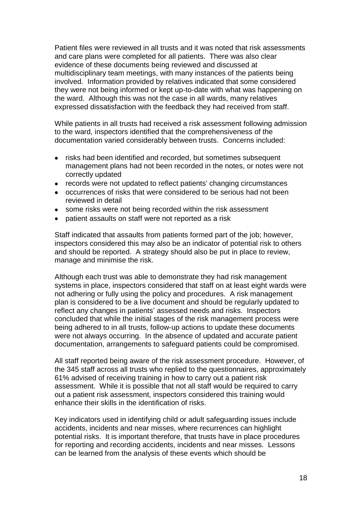Patient files were reviewed in all trusts and it was noted that risk assessments and care plans were completed for all patients. There was also clear evidence of these documents being reviewed and discussed at multidisciplinary team meetings, with many instances of the patients being involved. Information provided by relatives indicated that some considered they were not being informed or kept up-to-date with what was happening on the ward. Although this was not the case in all wards, many relatives expressed dissatisfaction with the feedback they had received from staff.

While patients in all trusts had received a risk assessment following admission to the ward, inspectors identified that the comprehensiveness of the documentation varied considerably between trusts. Concerns included:

- risks had been identified and recorded, but sometimes subsequent management plans had not been recorded in the notes, or notes were not correctly updated
- records were not updated to reflect patients' changing circumstances
- occurrences of risks that were considered to be serious had not been reviewed in detail
- some risks were not being recorded within the risk assessment
- patient assaults on staff were not reported as a risk

Staff indicated that assaults from patients formed part of the job; however, inspectors considered this may also be an indicator of potential risk to others and should be reported. A strategy should also be put in place to review, manage and minimise the risk.

Although each trust was able to demonstrate they had risk management systems in place, inspectors considered that staff on at least eight wards were not adhering or fully using the policy and procedures. A risk management plan is considered to be a live document and should be regularly updated to reflect any changes in patients' assessed needs and risks. Inspectors concluded that while the initial stages of the risk management process were being adhered to in all trusts, follow-up actions to update these documents were not always occurring. In the absence of updated and accurate patient documentation, arrangements to safeguard patients could be compromised.

All staff reported being aware of the risk assessment procedure. However, of the 345 staff across all trusts who replied to the questionnaires, approximately 61% advised of receiving training in how to carry out a patient risk assessment. While it is possible that not all staff would be required to carry out a patient risk assessment, inspectors considered this training would enhance their skills in the identification of risks.

Key indicators used in identifying child or adult safeguarding issues include accidents, incidents and near misses, where recurrences can highlight potential risks. It is important therefore, that trusts have in place procedures for reporting and recording accidents, incidents and near misses. Lessons can be learned from the analysis of these events which should be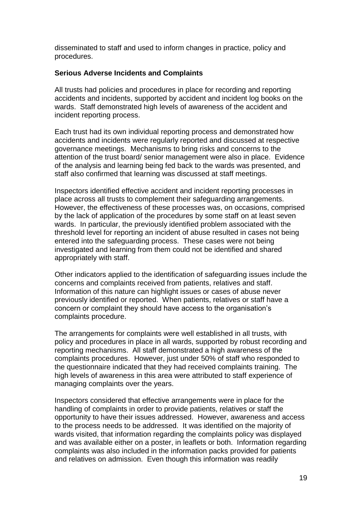disseminated to staff and used to inform changes in practice, policy and procedures.

## **Serious Adverse Incidents and Complaints**

All trusts had policies and procedures in place for recording and reporting accidents and incidents, supported by accident and incident log books on the wards. Staff demonstrated high levels of awareness of the accident and incident reporting process.

Each trust had its own individual reporting process and demonstrated how accidents and incidents were regularly reported and discussed at respective governance meetings. Mechanisms to bring risks and concerns to the attention of the trust board/ senior management were also in place. Evidence of the analysis and learning being fed back to the wards was presented, and staff also confirmed that learning was discussed at staff meetings.

Inspectors identified effective accident and incident reporting processes in place across all trusts to complement their safeguarding arrangements. However, the effectiveness of these processes was, on occasions, comprised by the lack of application of the procedures by some staff on at least seven wards. In particular, the previously identified problem associated with the threshold level for reporting an incident of abuse resulted in cases not being entered into the safeguarding process. These cases were not being investigated and learning from them could not be identified and shared appropriately with staff.

Other indicators applied to the identification of safeguarding issues include the concerns and complaints received from patients, relatives and staff. Information of this nature can highlight issues or cases of abuse never previously identified or reported. When patients, relatives or staff have a concern or complaint they should have access to the organisation's complaints procedure.

The arrangements for complaints were well established in all trusts, with policy and procedures in place in all wards, supported by robust recording and reporting mechanisms. All staff demonstrated a high awareness of the complaints procedures. However, just under 50% of staff who responded to the questionnaire indicated that they had received complaints training. The high levels of awareness in this area were attributed to staff experience of managing complaints over the years.

Inspectors considered that effective arrangements were in place for the handling of complaints in order to provide patients, relatives or staff the opportunity to have their issues addressed. However, awareness and access to the process needs to be addressed. It was identified on the majority of wards visited, that information regarding the complaints policy was displayed and was available either on a poster, in leaflets or both. Information regarding complaints was also included in the information packs provided for patients and relatives on admission. Even though this information was readily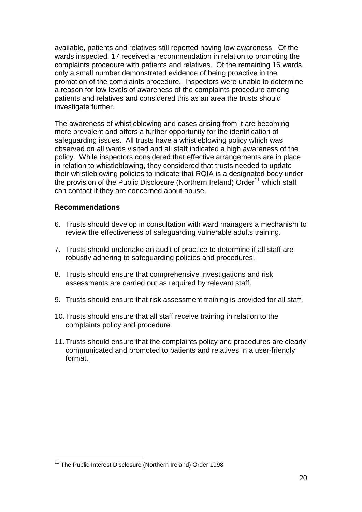available, patients and relatives still reported having low awareness. Of the wards inspected, 17 received a recommendation in relation to promoting the complaints procedure with patients and relatives. Of the remaining 16 wards, only a small number demonstrated evidence of being proactive in the promotion of the complaints procedure. Inspectors were unable to determine a reason for low levels of awareness of the complaints procedure among patients and relatives and considered this as an area the trusts should investigate further.

The awareness of whistleblowing and cases arising from it are becoming more prevalent and offers a further opportunity for the identification of safeguarding issues. All trusts have a whistleblowing policy which was observed on all wards visited and all staff indicated a high awareness of the policy. While inspectors considered that effective arrangements are in place in relation to whistleblowing, they considered that trusts needed to update their whistleblowing policies to indicate that RQIA is a designated body under the provision of the Public Disclosure (Northern Ireland) Order<sup>11</sup> which staff can contact if they are concerned about abuse.

#### **Recommendations**

- 6. Trusts should develop in consultation with ward managers a mechanism to review the effectiveness of safeguarding vulnerable adults training.
- 7. Trusts should undertake an audit of practice to determine if all staff are robustly adhering to safeguarding policies and procedures.
- 8. Trusts should ensure that comprehensive investigations and risk assessments are carried out as required by relevant staff.
- 9. Trusts should ensure that risk assessment training is provided for all staff.
- 10.Trusts should ensure that all staff receive training in relation to the complaints policy and procedure.
- 11.Trusts should ensure that the complaints policy and procedures are clearly communicated and promoted to patients and relatives in a user-friendly format.

 <sup>11</sup> The Public Interest Disclosure (Northern Ireland) Order 1998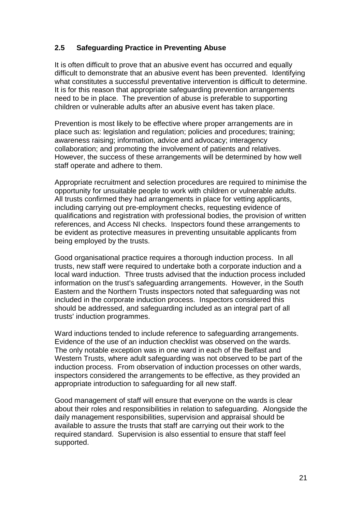## <span id="page-23-0"></span>**2.5 Safeguarding Practice in Preventing Abuse**

It is often difficult to prove that an abusive event has occurred and equally difficult to demonstrate that an abusive event has been prevented. Identifying what constitutes a successful preventative intervention is difficult to determine. It is for this reason that appropriate safeguarding prevention arrangements need to be in place. The prevention of abuse is preferable to supporting children or vulnerable adults after an abusive event has taken place.

Prevention is most likely to be effective where proper arrangements are in place such as: legislation and regulation; policies and procedures; training; awareness raising; information, advice and advocacy; interagency collaboration; and promoting the involvement of patients and relatives. However, the success of these arrangements will be determined by how well staff operate and adhere to them.

Appropriate recruitment and selection procedures are required to minimise the opportunity for unsuitable people to work with children or vulnerable adults. All trusts confirmed they had arrangements in place for vetting applicants, including carrying out pre-employment checks, requesting evidence of qualifications and registration with professional bodies, the provision of written references, and Access NI checks. Inspectors found these arrangements to be evident as protective measures in preventing unsuitable applicants from being employed by the trusts.

Good organisational practice requires a thorough induction process. In all trusts, new staff were required to undertake both a corporate induction and a local ward induction. Three trusts advised that the induction process included information on the trust's safeguarding arrangements. However, in the South Eastern and the Northern Trusts inspectors noted that safeguarding was not included in the corporate induction process. Inspectors considered this should be addressed, and safeguarding included as an integral part of all trusts' induction programmes.

Ward inductions tended to include reference to safeguarding arrangements. Evidence of the use of an induction checklist was observed on the wards. The only notable exception was in one ward in each of the Belfast and Western Trusts, where adult safeguarding was not observed to be part of the induction process. From observation of induction processes on other wards, inspectors considered the arrangements to be effective, as they provided an appropriate introduction to safeguarding for all new staff.

Good management of staff will ensure that everyone on the wards is clear about their roles and responsibilities in relation to safeguarding. Alongside the daily management responsibilities, supervision and appraisal should be available to assure the trusts that staff are carrying out their work to the required standard. Supervision is also essential to ensure that staff feel supported.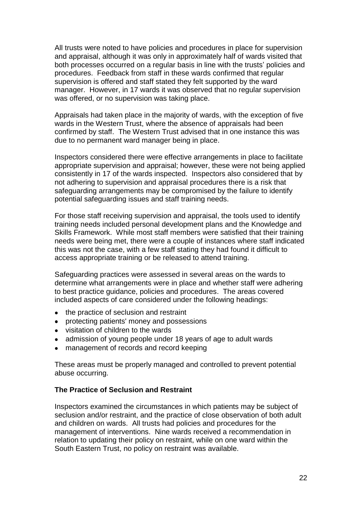All trusts were noted to have policies and procedures in place for supervision and appraisal, although it was only in approximately half of wards visited that both processes occurred on a regular basis in line with the trusts' policies and procedures. Feedback from staff in these wards confirmed that regular supervision is offered and staff stated they felt supported by the ward manager. However, in 17 wards it was observed that no regular supervision was offered, or no supervision was taking place.

Appraisals had taken place in the majority of wards, with the exception of five wards in the Western Trust, where the absence of appraisals had been confirmed by staff. The Western Trust advised that in one instance this was due to no permanent ward manager being in place.

Inspectors considered there were effective arrangements in place to facilitate appropriate supervision and appraisal; however, these were not being applied consistently in 17 of the wards inspected. Inspectors also considered that by not adhering to supervision and appraisal procedures there is a risk that safeguarding arrangements may be compromised by the failure to identify potential safeguarding issues and staff training needs.

For those staff receiving supervision and appraisal, the tools used to identify training needs included personal development plans and the Knowledge and Skills Framework. While most staff members were satisfied that their training needs were being met, there were a couple of instances where staff indicated this was not the case, with a few staff stating they had found it difficult to access appropriate training or be released to attend training.

Safeguarding practices were assessed in several areas on the wards to determine what arrangements were in place and whether staff were adhering to best practice guidance, policies and procedures. The areas covered included aspects of care considered under the following headings:

- the practice of seclusion and restraint
- protecting patients' money and possessions
- visitation of children to the wards
- admission of young people under 18 years of age to adult wards
- management of records and record keeping

These areas must be properly managed and controlled to prevent potential abuse occurring.

#### **The Practice of Seclusion and Restraint**

Inspectors examined the circumstances in which patients may be subject of seclusion and/or restraint, and the practice of close observation of both adult and children on wards. All trusts had policies and procedures for the management of interventions. Nine wards received a recommendation in relation to updating their policy on restraint, while on one ward within the South Eastern Trust, no policy on restraint was available.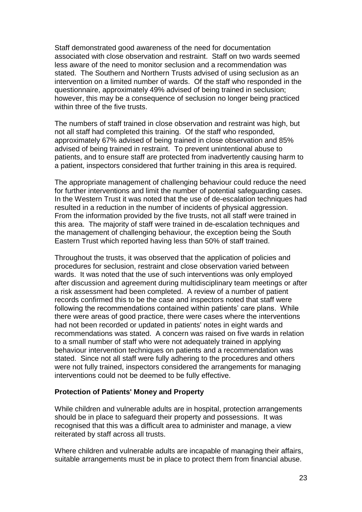Staff demonstrated good awareness of the need for documentation associated with close observation and restraint. Staff on two wards seemed less aware of the need to monitor seclusion and a recommendation was stated. The Southern and Northern Trusts advised of using seclusion as an intervention on a limited number of wards. Of the staff who responded in the questionnaire, approximately 49% advised of being trained in seclusion; however, this may be a consequence of seclusion no longer being practiced within three of the five trusts.

The numbers of staff trained in close observation and restraint was high, but not all staff had completed this training. Of the staff who responded, approximately 67% advised of being trained in close observation and 85% advised of being trained in restraint. To prevent unintentional abuse to patients, and to ensure staff are protected from inadvertently causing harm to a patient, inspectors considered that further training in this area is required.

The appropriate management of challenging behaviour could reduce the need for further interventions and limit the number of potential safeguarding cases. In the Western Trust it was noted that the use of de-escalation techniques had resulted in a reduction in the number of incidents of physical aggression. From the information provided by the five trusts, not all staff were trained in this area. The majority of staff were trained in de-escalation techniques and the management of challenging behaviour, the exception being the South Eastern Trust which reported having less than 50% of staff trained.

Throughout the trusts, it was observed that the application of policies and procedures for seclusion, restraint and close observation varied between wards. It was noted that the use of such interventions was only employed after discussion and agreement during multidisciplinary team meetings or after a risk assessment had been completed. A review of a number of patient records confirmed this to be the case and inspectors noted that staff were following the recommendations contained within patients' care plans. While there were areas of good practice, there were cases where the interventions had not been recorded or updated in patients' notes in eight wards and recommendations was stated. A concern was raised on five wards in relation to a small number of staff who were not adequately trained in applying behaviour intervention techniques on patients and a recommendation was stated. Since not all staff were fully adhering to the procedures and others were not fully trained, inspectors considered the arrangements for managing interventions could not be deemed to be fully effective.

#### **Protection of Patients' Money and Property**

While children and vulnerable adults are in hospital, protection arrangements should be in place to safeguard their property and possessions. It was recognised that this was a difficult area to administer and manage, a view reiterated by staff across all trusts.

Where children and vulnerable adults are incapable of managing their affairs, suitable arrangements must be in place to protect them from financial abuse.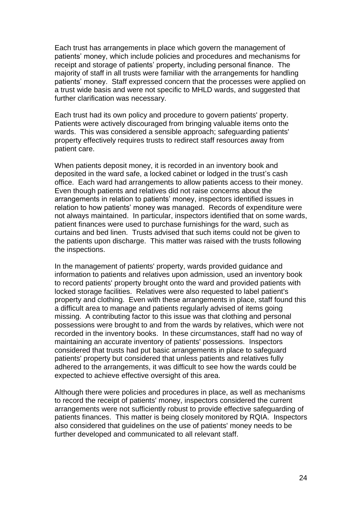Each trust has arrangements in place which govern the management of patients' money, which include policies and procedures and mechanisms for receipt and storage of patients' property, including personal finance. The majority of staff in all trusts were familiar with the arrangements for handling patients' money. Staff expressed concern that the processes were applied on a trust wide basis and were not specific to MHLD wards, and suggested that further clarification was necessary.

Each trust had its own policy and procedure to govern patients' property. Patients were actively discouraged from bringing valuable items onto the wards. This was considered a sensible approach; safeguarding patients' property effectively requires trusts to redirect staff resources away from patient care.

When patients deposit money, it is recorded in an inventory book and deposited in the ward safe, a locked cabinet or lodged in the trust's cash office. Each ward had arrangements to allow patients access to their money. Even though patients and relatives did not raise concerns about the arrangements in relation to patients' money, inspectors identified issues in relation to how patients' money was managed. Records of expenditure were not always maintained. In particular, inspectors identified that on some wards, patient finances were used to purchase furnishings for the ward, such as curtains and bed linen. Trusts advised that such items could not be given to the patients upon discharge. This matter was raised with the trusts following the inspections.

In the management of patients' property, wards provided guidance and information to patients and relatives upon admission, used an inventory book to record patients' property brought onto the ward and provided patients with locked storage facilities. Relatives were also requested to label patient's property and clothing. Even with these arrangements in place, staff found this a difficult area to manage and patients regularly advised of items going missing. A contributing factor to this issue was that clothing and personal possessions were brought to and from the wards by relatives, which were not recorded in the inventory books. In these circumstances, staff had no way of maintaining an accurate inventory of patients' possessions. Inspectors considered that trusts had put basic arrangements in place to safeguard patients' property but considered that unless patients and relatives fully adhered to the arrangements, it was difficult to see how the wards could be expected to achieve effective oversight of this area.

Although there were policies and procedures in place, as well as mechanisms to record the receipt of patients' money, inspectors considered the current arrangements were not sufficiently robust to provide effective safeguarding of patients finances. This matter is being closely monitored by RQIA. Inspectors also considered that guidelines on the use of patients' money needs to be further developed and communicated to all relevant staff.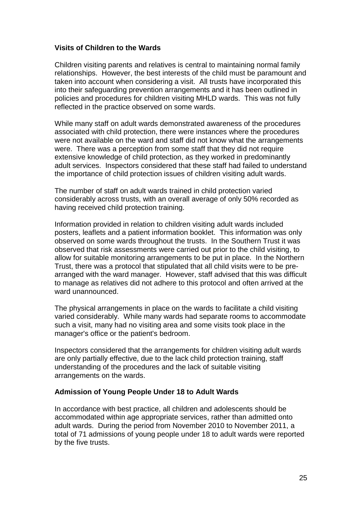#### **Visits of Children to the Wards**

Children visiting parents and relatives is central to maintaining normal family relationships. However, the best interests of the child must be paramount and taken into account when considering a visit. All trusts have incorporated this into their safeguarding prevention arrangements and it has been outlined in policies and procedures for children visiting MHLD wards. This was not fully reflected in the practice observed on some wards.

While many staff on adult wards demonstrated awareness of the procedures associated with child protection, there were instances where the procedures were not available on the ward and staff did not know what the arrangements were. There was a perception from some staff that they did not require extensive knowledge of child protection, as they worked in predominantly adult services. Inspectors considered that these staff had failed to understand the importance of child protection issues of children visiting adult wards.

The number of staff on adult wards trained in child protection varied considerably across trusts, with an overall average of only 50% recorded as having received child protection training.

Information provided in relation to children visiting adult wards included posters, leaflets and a patient information booklet. This information was only observed on some wards throughout the trusts. In the Southern Trust it was observed that risk assessments were carried out prior to the child visiting, to allow for suitable monitoring arrangements to be put in place. In the Northern Trust, there was a protocol that stipulated that all child visits were to be prearranged with the ward manager. However, staff advised that this was difficult to manage as relatives did not adhere to this protocol and often arrived at the ward unannounced.

The physical arrangements in place on the wards to facilitate a child visiting varied considerably. While many wards had separate rooms to accommodate such a visit, many had no visiting area and some visits took place in the manager's office or the patient's bedroom.

Inspectors considered that the arrangements for children visiting adult wards are only partially effective, due to the lack child protection training, staff understanding of the procedures and the lack of suitable visiting arrangements on the wards.

#### **Admission of Young People Under 18 to Adult Wards**

In accordance with best practice, all children and adolescents should be accommodated within age appropriate services, rather than admitted onto adult wards. During the period from November 2010 to November 2011, a total of 71 admissions of young people under 18 to adult wards were reported by the five trusts.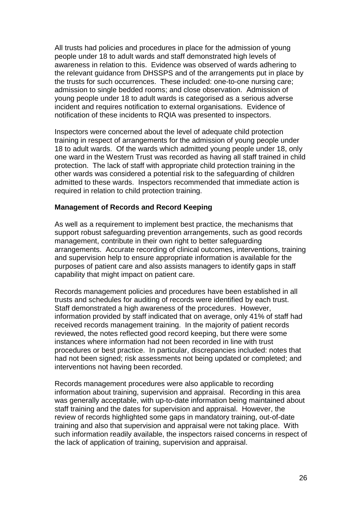All trusts had policies and procedures in place for the admission of young people under 18 to adult wards and staff demonstrated high levels of awareness in relation to this. Evidence was observed of wards adhering to the relevant guidance from DHSSPS and of the arrangements put in place by the trusts for such occurrences. These included: one-to-one nursing care; admission to single bedded rooms; and close observation. Admission of young people under 18 to adult wards is categorised as a serious adverse incident and requires notification to external organisations. Evidence of notification of these incidents to RQIA was presented to inspectors.

Inspectors were concerned about the level of adequate child protection training in respect of arrangements for the admission of young people under 18 to adult wards. Of the wards which admitted young people under 18, only one ward in the Western Trust was recorded as having all staff trained in child protection. The lack of staff with appropriate child protection training in the other wards was considered a potential risk to the safeguarding of children admitted to these wards. Inspectors recommended that immediate action is required in relation to child protection training.

#### **Management of Records and Record Keeping**

As well as a requirement to implement best practice, the mechanisms that support robust safeguarding prevention arrangements, such as good records management, contribute in their own right to better safeguarding arrangements. Accurate recording of clinical outcomes, interventions, training and supervision help to ensure appropriate information is available for the purposes of patient care and also assists managers to identify gaps in staff capability that might impact on patient care.

Records management policies and procedures have been established in all trusts and schedules for auditing of records were identified by each trust. Staff demonstrated a high awareness of the procedures. However, information provided by staff indicated that on average, only 41% of staff had received records management training. In the majority of patient records reviewed, the notes reflected good record keeping, but there were some instances where information had not been recorded in line with trust procedures or best practice. In particular, discrepancies included: notes that had not been signed; risk assessments not being updated or completed; and interventions not having been recorded.

Records management procedures were also applicable to recording information about training, supervision and appraisal. Recording in this area was generally acceptable, with up-to-date information being maintained about staff training and the dates for supervision and appraisal. However, the review of records highlighted some gaps in mandatory training, out-of-date training and also that supervision and appraisal were not taking place. With such information readily available, the inspectors raised concerns in respect of the lack of application of training, supervision and appraisal.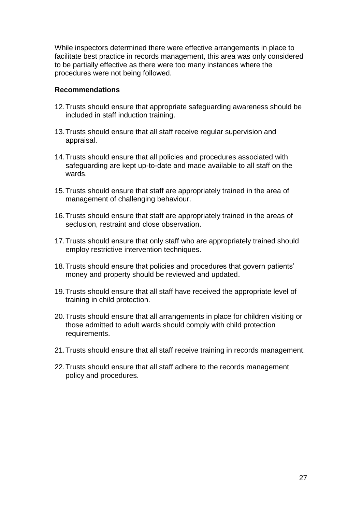While inspectors determined there were effective arrangements in place to facilitate best practice in records management, this area was only considered to be partially effective as there were too many instances where the procedures were not being followed.

#### **Recommendations**

- 12.Trusts should ensure that appropriate safeguarding awareness should be included in staff induction training.
- 13.Trusts should ensure that all staff receive regular supervision and appraisal.
- 14.Trusts should ensure that all policies and procedures associated with safeguarding are kept up-to-date and made available to all staff on the wards.
- 15.Trusts should ensure that staff are appropriately trained in the area of management of challenging behaviour.
- 16.Trusts should ensure that staff are appropriately trained in the areas of seclusion, restraint and close observation.
- 17.Trusts should ensure that only staff who are appropriately trained should employ restrictive intervention techniques.
- 18.Trusts should ensure that policies and procedures that govern patients' money and property should be reviewed and updated.
- 19.Trusts should ensure that all staff have received the appropriate level of training in child protection.
- 20.Trusts should ensure that all arrangements in place for children visiting or those admitted to adult wards should comply with child protection requirements.
- 21.Trusts should ensure that all staff receive training in records management.
- 22.Trusts should ensure that all staff adhere to the records management policy and procedures.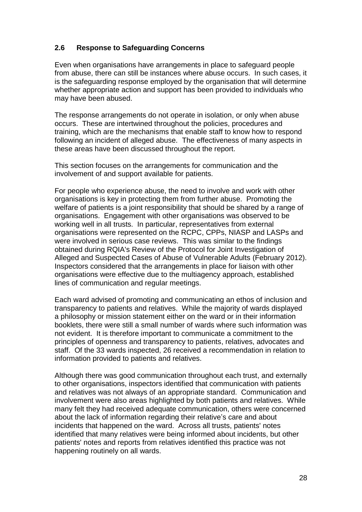## <span id="page-30-0"></span>**2.6 Response to Safeguarding Concerns**

Even when organisations have arrangements in place to safeguard people from abuse, there can still be instances where abuse occurs. In such cases, it is the safeguarding response employed by the organisation that will determine whether appropriate action and support has been provided to individuals who may have been abused.

The response arrangements do not operate in isolation, or only when abuse occurs. These are intertwined throughout the policies, procedures and training, which are the mechanisms that enable staff to know how to respond following an incident of alleged abuse. The effectiveness of many aspects in these areas have been discussed throughout the report.

This section focuses on the arrangements for communication and the involvement of and support available for patients.

For people who experience abuse, the need to involve and work with other organisations is key in protecting them from further abuse. Promoting the welfare of patients is a joint responsibility that should be shared by a range of organisations. Engagement with other organisations was observed to be working well in all trusts. In particular, representatives from external organisations were represented on the RCPC, CPPs, NIASP and LASPs and were involved in serious case reviews. This was similar to the findings obtained during RQIA's Review of the Protocol for Joint Investigation of Alleged and Suspected Cases of Abuse of Vulnerable Adults (February 2012). Inspectors considered that the arrangements in place for liaison with other organisations were effective due to the multiagency approach, established lines of communication and regular meetings.

Each ward advised of promoting and communicating an ethos of inclusion and transparency to patients and relatives. While the majority of wards displayed a philosophy or mission statement either on the ward or in their information booklets, there were still a small number of wards where such information was not evident. It is therefore important to communicate a commitment to the principles of openness and transparency to patients, relatives, advocates and staff. Of the 33 wards inspected, 26 received a recommendation in relation to information provided to patients and relatives.

Although there was good communication throughout each trust, and externally to other organisations, inspectors identified that communication with patients and relatives was not always of an appropriate standard. Communication and involvement were also areas highlighted by both patients and relatives. While many felt they had received adequate communication, others were concerned about the lack of information regarding their relative's care and about incidents that happened on the ward. Across all trusts, patients' notes identified that many relatives were being informed about incidents, but other patients' notes and reports from relatives identified this practice was not happening routinely on all wards.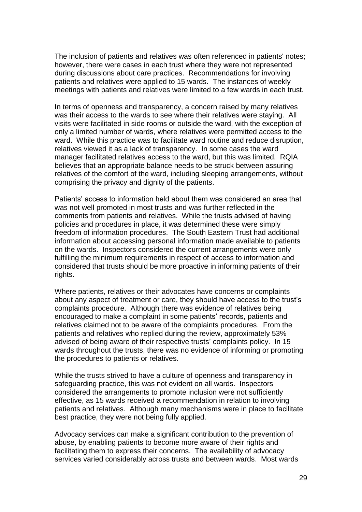The inclusion of patients and relatives was often referenced in patients' notes; however, there were cases in each trust where they were not represented during discussions about care practices. Recommendations for involving patients and relatives were applied to 15 wards. The instances of weekly meetings with patients and relatives were limited to a few wards in each trust.

In terms of openness and transparency, a concern raised by many relatives was their access to the wards to see where their relatives were staying. All visits were facilitated in side rooms or outside the ward, with the exception of only a limited number of wards, where relatives were permitted access to the ward. While this practice was to facilitate ward routine and reduce disruption, relatives viewed it as a lack of transparency. In some cases the ward manager facilitated relatives access to the ward, but this was limited. RQIA believes that an appropriate balance needs to be struck between assuring relatives of the comfort of the ward, including sleeping arrangements, without comprising the privacy and dignity of the patients.

Patients' access to information held about them was considered an area that was not well promoted in most trusts and was further reflected in the comments from patients and relatives. While the trusts advised of having policies and procedures in place, it was determined these were simply freedom of information procedures. The South Eastern Trust had additional information about accessing personal information made available to patients on the wards. Inspectors considered the current arrangements were only fulfilling the minimum requirements in respect of access to information and considered that trusts should be more proactive in informing patients of their rights.

Where patients, relatives or their advocates have concerns or complaints about any aspect of treatment or care, they should have access to the trust's complaints procedure. Although there was evidence of relatives being encouraged to make a complaint in some patients' records, patients and relatives claimed not to be aware of the complaints procedures. From the patients and relatives who replied during the review, approximately 53% advised of being aware of their respective trusts' complaints policy. In 15 wards throughout the trusts, there was no evidence of informing or promoting the procedures to patients or relatives.

While the trusts strived to have a culture of openness and transparency in safeguarding practice, this was not evident on all wards. Inspectors considered the arrangements to promote inclusion were not sufficiently effective, as 15 wards received a recommendation in relation to involving patients and relatives. Although many mechanisms were in place to facilitate best practice, they were not being fully applied.

Advocacy services can make a significant contribution to the prevention of abuse, by enabling patients to become more aware of their rights and facilitating them to express their concerns. The availability of advocacy services varied considerably across trusts and between wards. Most wards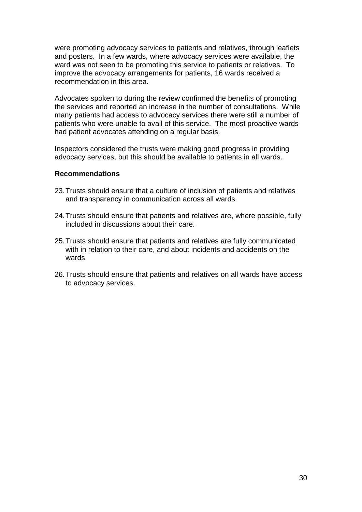were promoting advocacy services to patients and relatives, through leaflets and posters. In a few wards, where advocacy services were available, the ward was not seen to be promoting this service to patients or relatives. To improve the advocacy arrangements for patients, 16 wards received a recommendation in this area.

Advocates spoken to during the review confirmed the benefits of promoting the services and reported an increase in the number of consultations. While many patients had access to advocacy services there were still a number of patients who were unable to avail of this service. The most proactive wards had patient advocates attending on a regular basis.

Inspectors considered the trusts were making good progress in providing advocacy services, but this should be available to patients in all wards.

#### **Recommendations**

- 23.Trusts should ensure that a culture of inclusion of patients and relatives and transparency in communication across all wards.
- 24.Trusts should ensure that patients and relatives are, where possible, fully included in discussions about their care.
- 25.Trusts should ensure that patients and relatives are fully communicated with in relation to their care, and about incidents and accidents on the wards.
- 26.Trusts should ensure that patients and relatives on all wards have access to advocacy services.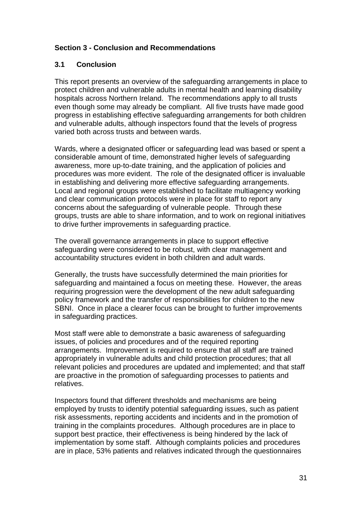## <span id="page-33-0"></span>**Section 3 - Conclusion and Recommendations**

#### <span id="page-33-1"></span>**3.1 Conclusion**

This report presents an overview of the safeguarding arrangements in place to protect children and vulnerable adults in mental health and learning disability hospitals across Northern Ireland. The recommendations apply to all trusts even though some may already be compliant. All five trusts have made good progress in establishing effective safeguarding arrangements for both children and vulnerable adults, although inspectors found that the levels of progress varied both across trusts and between wards.

Wards, where a designated officer or safeguarding lead was based or spent a considerable amount of time, demonstrated higher levels of safeguarding awareness, more up-to-date training, and the application of policies and procedures was more evident. The role of the designated officer is invaluable in establishing and delivering more effective safeguarding arrangements. Local and regional groups were established to facilitate multiagency working and clear communication protocols were in place for staff to report any concerns about the safeguarding of vulnerable people. Through these groups, trusts are able to share information, and to work on regional initiatives to drive further improvements in safeguarding practice.

The overall governance arrangements in place to support effective safeguarding were considered to be robust, with clear management and accountability structures evident in both children and adult wards.

Generally, the trusts have successfully determined the main priorities for safeguarding and maintained a focus on meeting these. However, the areas requiring progression were the development of the new adult safeguarding policy framework and the transfer of responsibilities for children to the new SBNI. Once in place a clearer focus can be brought to further improvements in safeguarding practices.

Most staff were able to demonstrate a basic awareness of safeguarding issues, of policies and procedures and of the required reporting arrangements. Improvement is required to ensure that all staff are trained appropriately in vulnerable adults and child protection procedures; that all relevant policies and procedures are updated and implemented; and that staff are proactive in the promotion of safeguarding processes to patients and relatives.

Inspectors found that different thresholds and mechanisms are being employed by trusts to identify potential safeguarding issues, such as patient risk assessments, reporting accidents and incidents and in the promotion of training in the complaints procedures. Although procedures are in place to support best practice, their effectiveness is being hindered by the lack of implementation by some staff. Although complaints policies and procedures are in place, 53% patients and relatives indicated through the questionnaires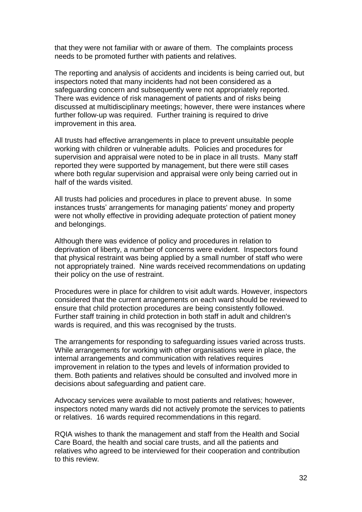that they were not familiar with or aware of them. The complaints process needs to be promoted further with patients and relatives.

The reporting and analysis of accidents and incidents is being carried out, but inspectors noted that many incidents had not been considered as a safeguarding concern and subsequently were not appropriately reported. There was evidence of risk management of patients and of risks being discussed at multidisciplinary meetings; however, there were instances where further follow-up was required. Further training is required to drive improvement in this area.

All trusts had effective arrangements in place to prevent unsuitable people working with children or vulnerable adults. Policies and procedures for supervision and appraisal were noted to be in place in all trusts. Many staff reported they were supported by management, but there were still cases where both regular supervision and appraisal were only being carried out in half of the wards visited.

All trusts had policies and procedures in place to prevent abuse. In some instances trusts' arrangements for managing patients' money and property were not wholly effective in providing adequate protection of patient money and belongings.

Although there was evidence of policy and procedures in relation to deprivation of liberty, a number of concerns were evident. Inspectors found that physical restraint was being applied by a small number of staff who were not appropriately trained. Nine wards received recommendations on updating their policy on the use of restraint.

Procedures were in place for children to visit adult wards. However, inspectors considered that the current arrangements on each ward should be reviewed to ensure that child protection procedures are being consistently followed. Further staff training in child protection in both staff in adult and children's wards is required, and this was recognised by the trusts.

The arrangements for responding to safeguarding issues varied across trusts. While arrangements for working with other organisations were in place, the internal arrangements and communication with relatives requires improvement in relation to the types and levels of information provided to them. Both patients and relatives should be consulted and involved more in decisions about safeguarding and patient care.

Advocacy services were available to most patients and relatives; however, inspectors noted many wards did not actively promote the services to patients or relatives. 16 wards required recommendations in this regard.

<span id="page-34-0"></span>RQIA wishes to thank the management and staff from the Health and Social Care Board, the health and social care trusts, and all the patients and relatives who agreed to be interviewed for their cooperation and contribution to this review.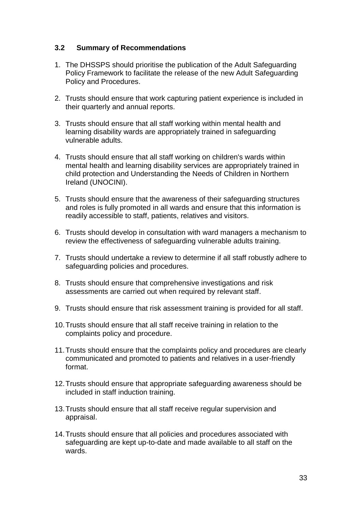## **3.2 Summary of Recommendations**

- 1. The DHSSPS should prioritise the publication of the Adult Safeguarding Policy Framework to facilitate the release of the new Adult Safeguarding Policy and Procedures.
- 2. Trusts should ensure that work capturing patient experience is included in their quarterly and annual reports.
- 3. Trusts should ensure that all staff working within mental health and learning disability wards are appropriately trained in safeguarding vulnerable adults.
- 4. Trusts should ensure that all staff working on children's wards within mental health and learning disability services are appropriately trained in child protection and Understanding the Needs of Children in Northern Ireland (UNOCINI).
- 5. Trusts should ensure that the awareness of their safeguarding structures and roles is fully promoted in all wards and ensure that this information is readily accessible to staff, patients, relatives and visitors.
- 6. Trusts should develop in consultation with ward managers a mechanism to review the effectiveness of safeguarding vulnerable adults training.
- 7. Trusts should undertake a review to determine if all staff robustly adhere to safeguarding policies and procedures.
- 8. Trusts should ensure that comprehensive investigations and risk assessments are carried out when required by relevant staff.
- 9. Trusts should ensure that risk assessment training is provided for all staff.
- 10.Trusts should ensure that all staff receive training in relation to the complaints policy and procedure.
- 11.Trusts should ensure that the complaints policy and procedures are clearly communicated and promoted to patients and relatives in a user-friendly format.
- 12.Trusts should ensure that appropriate safeguarding awareness should be included in staff induction training.
- 13.Trusts should ensure that all staff receive regular supervision and appraisal.
- 14.Trusts should ensure that all policies and procedures associated with safeguarding are kept up-to-date and made available to all staff on the wards.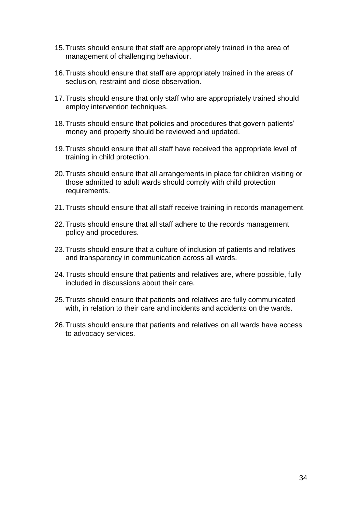- 15.Trusts should ensure that staff are appropriately trained in the area of management of challenging behaviour.
- 16.Trusts should ensure that staff are appropriately trained in the areas of seclusion, restraint and close observation.
- 17.Trusts should ensure that only staff who are appropriately trained should employ intervention techniques.
- 18.Trusts should ensure that policies and procedures that govern patients' money and property should be reviewed and updated.
- 19.Trusts should ensure that all staff have received the appropriate level of training in child protection.
- 20.Trusts should ensure that all arrangements in place for children visiting or those admitted to adult wards should comply with child protection requirements.
- 21.Trusts should ensure that all staff receive training in records management.
- 22.Trusts should ensure that all staff adhere to the records management policy and procedures.
- 23.Trusts should ensure that a culture of inclusion of patients and relatives and transparency in communication across all wards.
- 24.Trusts should ensure that patients and relatives are, where possible, fully included in discussions about their care.
- 25.Trusts should ensure that patients and relatives are fully communicated with, in relation to their care and incidents and accidents on the wards.
- 26.Trusts should ensure that patients and relatives on all wards have access to advocacy services.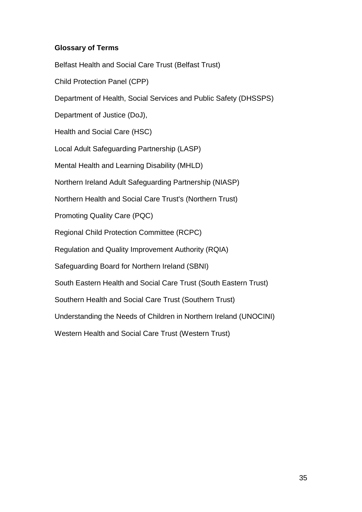## <span id="page-37-0"></span>**Glossary of Terms**

Belfast Health and Social Care Trust (Belfast Trust) Child Protection Panel (CPP) Department of Health, Social Services and Public Safety (DHSSPS) Department of Justice (DoJ), Health and Social Care (HSC) Local Adult Safeguarding Partnership (LASP) Mental Health and Learning Disability (MHLD) Northern Ireland Adult Safeguarding Partnership (NIASP) Northern Health and Social Care Trust's (Northern Trust) Promoting Quality Care (PQC) Regional Child Protection Committee (RCPC) Regulation and Quality Improvement Authority (RQIA) Safeguarding Board for Northern Ireland (SBNI) South Eastern Health and Social Care Trust (South Eastern Trust) Southern Health and Social Care Trust (Southern Trust) Understanding the Needs of Children in Northern Ireland (UNOCINI) Western Health and Social Care Trust (Western Trust)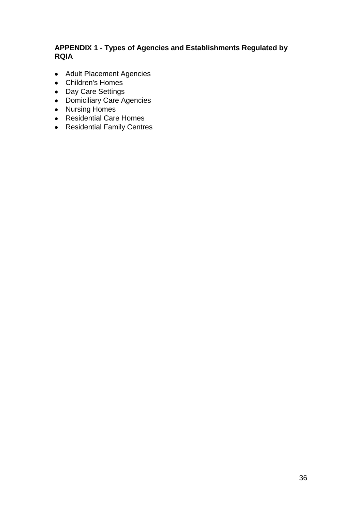## <span id="page-38-0"></span>**APPENDIX 1 - Types of Agencies and Establishments Regulated by RQIA**

- Adult Placement Agencies
- Children's Homes
- Day Care Settings
- Domiciliary Care Agencies
- Nursing Homes
- Residential Care Homes
- Residential Family Centres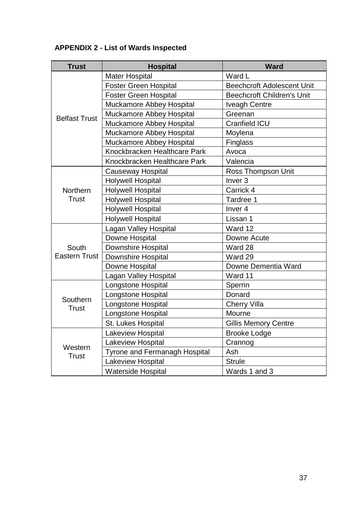## <span id="page-39-0"></span>**APPENDIX 2 - List of Wards Inspected**

| <b>Trust</b>         | <b>Hospital</b>                 | <b>Ward</b>                       |
|----------------------|---------------------------------|-----------------------------------|
|                      | <b>Mater Hospital</b>           | Ward L                            |
|                      | <b>Foster Green Hospital</b>    | <b>Beechcroft Adolescent Unit</b> |
|                      | <b>Foster Green Hospital</b>    | <b>Beechcroft Children's Unit</b> |
|                      | <b>Muckamore Abbey Hospital</b> | <b>Iveagh Centre</b>              |
| <b>Belfast Trust</b> | Muckamore Abbey Hospital        | Greenan                           |
|                      | <b>Muckamore Abbey Hospital</b> | <b>Cranfield ICU</b>              |
|                      | <b>Muckamore Abbey Hospital</b> | Moylena                           |
|                      | <b>Muckamore Abbey Hospital</b> | Finglass                          |
|                      | Knockbracken Healthcare Park    | Avoca                             |
|                      | Knockbracken Healthcare Park    | Valencia                          |
|                      | <b>Causeway Hospital</b>        | Ross Thompson Unit                |
|                      | <b>Holywell Hospital</b>        | Inver <sub>3</sub>                |
| Northern             | <b>Holywell Hospital</b>        | Carrick 4                         |
| <b>Trust</b>         | <b>Holywell Hospital</b>        | Tardree 1                         |
|                      | <b>Holywell Hospital</b>        | Inver <sub>4</sub>                |
|                      | <b>Holywell Hospital</b>        | Lissan 1                          |
|                      | Lagan Valley Hospital           | Ward 12                           |
|                      | Downe Hospital                  | Downe Acute                       |
| South                | <b>Downshire Hospital</b>       | Ward 28                           |
| <b>Eastern Trust</b> | <b>Downshire Hospital</b>       | Ward 29                           |
|                      | Downe Hospital                  | Downe Dementia Ward               |
|                      | <b>Lagan Valley Hospital</b>    | Ward 11                           |
|                      | Longstone Hospital              | Sperrin                           |
| Southern             | Longstone Hospital              | Donard                            |
| <b>Trust</b>         | Longstone Hospital              | <b>Cherry Villa</b>               |
|                      | Longstone Hospital              | Mourne                            |
|                      | St. Lukes Hospital              | <b>Gillis Memory Centre</b>       |
|                      | Lakeview Hospital               | <b>Brooke Lodge</b>               |
| Western              | Lakeview Hospital               | Crannog                           |
| Trust                | Tyrone and Fermanagh Hospital   | Ash                               |
|                      | Lakeview Hospital               | <b>Strule</b>                     |
|                      | <b>Waterside Hospital</b>       | Wards 1 and 3                     |